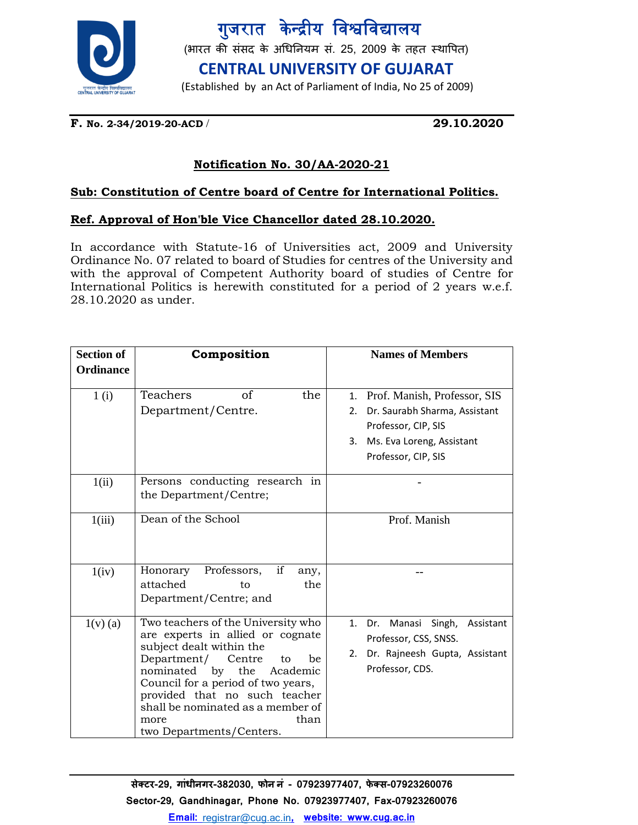



(भारत की संसद के अधिनियम सं. 25, 2009 के तहत स्थापित)

**CENTRAL UNIVERSITY OF GUJARAT**

(Established by an Act of Parliament of India, No 25 of 2009)

**F. No. 2-34/2019-20-ACD** / **29.10.2020**

## **Notification No. 30/AA-2020-21**

### **Sub: Constitution of Centre board of Centre for International Politics.**

#### **Ref. Approval of Hon'ble Vice Chancellor dated 28.10.2020.**

In accordance with Statute-16 of Universities act, 2009 and University Ordinance No. 07 related to board of Studies for centres of the University and with the approval of Competent Authority board of studies of Centre for International Politics is herewith constituted for a period of 2 years w.e.f. 28.10.2020 as under.

| <b>Section of</b> | Composition                                                                                                                                                                                                                                                                                                                     | <b>Names of Members</b>                                                                                                                                    |
|-------------------|---------------------------------------------------------------------------------------------------------------------------------------------------------------------------------------------------------------------------------------------------------------------------------------------------------------------------------|------------------------------------------------------------------------------------------------------------------------------------------------------------|
| <b>Ordinance</b>  |                                                                                                                                                                                                                                                                                                                                 |                                                                                                                                                            |
| 1(i)              | Teachers<br>of<br>the<br>Department/Centre.                                                                                                                                                                                                                                                                                     | Prof. Manish, Professor, SIS<br>1.<br>Dr. Saurabh Sharma, Assistant<br>2.<br>Professor, CIP, SIS<br>Ms. Eva Loreng, Assistant<br>3.<br>Professor, CIP, SIS |
| 1(ii)             | Persons conducting research in<br>the Department/Centre;                                                                                                                                                                                                                                                                        |                                                                                                                                                            |
| 1(iii)            | Dean of the School                                                                                                                                                                                                                                                                                                              | Prof. Manish                                                                                                                                               |
| 1(iv)             | if<br>Professors,<br>Honorary<br>any,<br>attached<br>the<br>to<br>Department/Centre; and                                                                                                                                                                                                                                        |                                                                                                                                                            |
| $1(v)$ (a)        | Two teachers of the University who<br>are experts in allied or cognate<br>subject dealt within the<br>Department/ Centre<br>be<br>to<br>nominated by<br>the<br>Academic<br>Council for a period of two years,<br>provided that no such teacher<br>shall be nominated as a member of<br>than<br>more<br>two Departments/Centers. | 1 <sup>1</sup><br>Dr. Manasi Singh, Assistant<br>Professor, CSS, SNSS.<br>Dr. Rajneesh Gupta, Assistant<br>2.<br>Professor, CDS.                           |